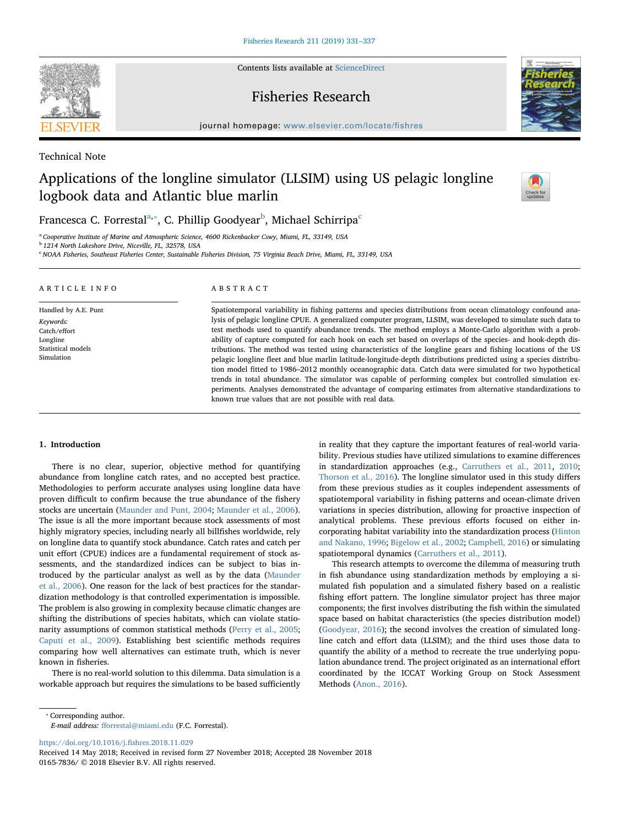Contents lists available at [ScienceDirect](http://www.sciencedirect.com/science/journal/01657836)

# Fisheries Research

journal homepage: [www.elsevier.com/locate/](https://www.elsevier.com/locate/fishres)fishres

Technical Note

# Applications of the longline simulator (LLSIM) using US pelagic longline logbook data and Atlantic blue marlin

Fr[a](#page-0-0)n[c](#page-0-3)esca C. Forrestal $^{\rm a, *}$ , C. Phillip Goodyear $^{\rm b}$  $^{\rm b}$  $^{\rm b}$ , Michael Schirripa $^{\rm c}$ 

<span id="page-0-0"></span><sup>a</sup> Cooperative Institute of Marine and Atmospheric Science, 4600 Rickenbacker Cswy, Miami, FL, 33149, USA

<span id="page-0-2"></span><sup>b</sup> 1214 North Lakeshore Drive, Niceville, FL, 32578, USA

<span id="page-0-3"></span><sup>c</sup> NOAA Fisheries, Southeast Fisheries Center, Sustainable Fisheries Division, 75 Virginia Beach Drive, Miami, FL, 33149, USA

# ARTICLE INFO

Handled by A.E. Punt Keywords: Catch/effort Longline Statistical models Simulation

## ABSTRACT

Spatiotemporal variability in fishing patterns and species distributions from ocean climatology confound analysis of pelagic longline CPUE. A generalized computer program, LLSIM, was developed to simulate such data to test methods used to quantify abundance trends. The method employs a Monte-Carlo algorithm with a probability of capture computed for each hook on each set based on overlaps of the species- and hook-depth distributions. The method was tested using characteristics of the longline gears and fishing locations of the US pelagic longline fleet and blue marlin latitude-longitude-depth distributions predicted using a species distribution model fitted to 1986–2012 monthly oceanographic data. Catch data were simulated for two hypothetical trends in total abundance. The simulator was capable of performing complex but controlled simulation experiments. Analyses demonstrated the advantage of comparing estimates from alternative standardizations to known true values that are not possible with real data.

# 1. Introduction

There is no clear, superior, objective method for quantifying abundance from longline catch rates, and no accepted best practice. Methodologies to perform accurate analyses using longline data have proven difficult to confirm because the true abundance of the fishery stocks are uncertain [\(Maunder and Punt, 2004;](#page-6-0) [Maunder et al., 2006](#page-6-1)). The issue is all the more important because stock assessments of most highly migratory species, including nearly all billfishes worldwide, rely on longline data to quantify stock abundance. Catch rates and catch per unit effort (CPUE) indices are a fundamental requirement of stock assessments, and the standardized indices can be subject to bias introduced by the particular analyst as well as by the data [\(Maunder](#page-6-1) [et al., 2006](#page-6-1)). One reason for the lack of best practices for the standardization methodology is that controlled experimentation is impossible. The problem is also growing in complexity because climatic changes are shifting the distributions of species habitats, which can violate stationarity assumptions of common statistical methods [\(Perry et al., 2005](#page-6-2); [Caputi et al., 2009](#page-5-0)). Establishing best scientific methods requires comparing how well alternatives can estimate truth, which is never known in fisheries.

There is no real-world solution to this dilemma. Data simulation is a workable approach but requires the simulations to be based sufficiently

in reality that they capture the important features of real-world variability. Previous studies have utilized simulations to examine differences in standardization approaches (e.g., [Carruthers et al., 2011,](#page-5-1) [2010](#page-6-3); [Thorson et al., 2016\)](#page-6-4). The longline simulator used in this study differs from these previous studies as it couples independent assessments of spatiotemporal variability in fishing patterns and ocean-climate driven variations in species distribution, allowing for proactive inspection of analytical problems. These previous efforts focused on either incorporating habitat variability into the standardization process [\(Hinton](#page-6-5) [and Nakano, 1996](#page-6-5); [Bigelow et al., 2002;](#page-5-2) [Campbell, 2016\)](#page-5-3) or simulating spatiotemporal dynamics [\(Carruthers et al., 2011\)](#page-5-1).

This research attempts to overcome the dilemma of measuring truth in fish abundance using standardization methods by employing a simulated fish population and a simulated fishery based on a realistic fishing effort pattern. The longline simulator project has three major components; the first involves distributing the fish within the simulated space based on habitat characteristics (the species distribution model) ([Goodyear, 2016\)](#page-6-6); the second involves the creation of simulated longline catch and effort data (LLSIM); and the third uses those data to quantify the ability of a method to recreate the true underlying population abundance trend. The project originated as an international effort coordinated by the ICCAT Working Group on Stock Assessment Methods [\(Anon., 2016](#page-5-4)).

<span id="page-0-1"></span>⁎ Corresponding author. E-mail address: ff[orrestal@miami.edu](mailto:fforrestal@miami.edu) (F.C. Forrestal).

[https://doi.org/10.1016/j.](https://doi.org/10.1016/j.fishres.2018.11.029)fishres.2018.11.029

Received 14 May 2018; Received in revised form 27 November 2018; Accepted 28 November 2018 0165-7836/ © 2018 Elsevier B.V. All rights reserved.





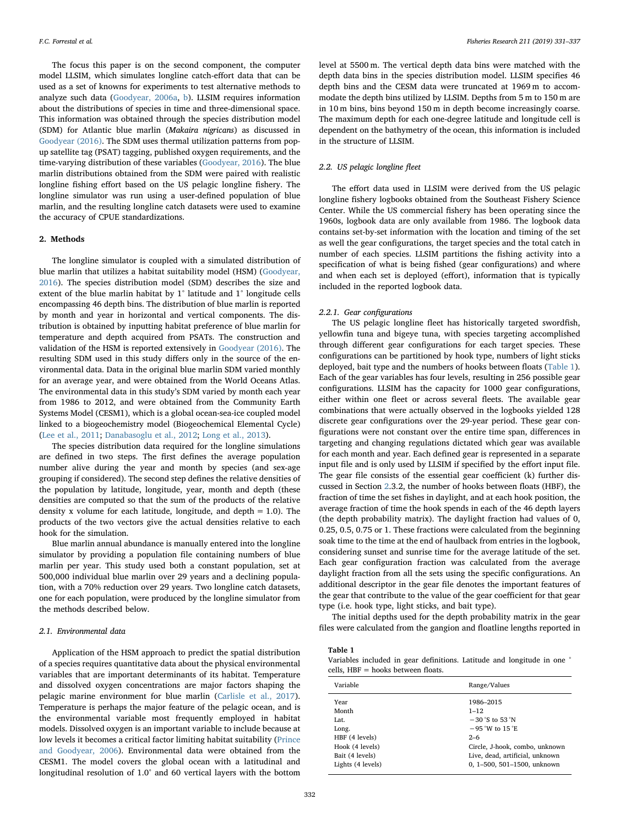The focus this paper is on the second component, the computer model LLSIM, which simulates longline catch-effort data that can be used as a set of knowns for experiments to test alternative methods to analyze such data ([Goodyear, 2006a,](#page-6-7) [b\)](#page-6-8). LLSIM requires information about the distributions of species in time and three-dimensional space. This information was obtained through the species distribution model (SDM) for Atlantic blue marlin (Makaira nigricans) as discussed in [Goodyear \(2016\).](#page-6-6) The SDM uses thermal utilization patterns from popup satellite tag (PSAT) tagging, published oxygen requirements, and the time-varying distribution of these variables [\(Goodyear, 2016\)](#page-6-6). The blue marlin distributions obtained from the SDM were paired with realistic longline fishing effort based on the US pelagic longline fishery. The longline simulator was run using a user-defined population of blue marlin, and the resulting longline catch datasets were used to examine the accuracy of CPUE standardizations.

# <span id="page-1-1"></span>2. Methods

The longline simulator is coupled with a simulated distribution of blue marlin that utilizes a habitat suitability model (HSM) [\(Goodyear,](#page-6-6) [2016\)](#page-6-6). The species distribution model (SDM) describes the size and extent of the blue marlin habitat by 1° latitude and 1° longitude cells encompassing 46 depth bins. The distribution of blue marlin is reported by month and year in horizontal and vertical components. The distribution is obtained by inputting habitat preference of blue marlin for temperature and depth acquired from PSATs. The construction and validation of the HSM is reported extensively in [Goodyear \(2016\).](#page-6-6) The resulting SDM used in this study differs only in the source of the environmental data. Data in the original blue marlin SDM varied monthly for an average year, and were obtained from the World Oceans Atlas. The environmental data in this study's SDM varied by month each year from 1986 to 2012, and were obtained from the Community Earth Systems Model (CESM1), which is a global ocean-sea-ice coupled model linked to a biogeochemistry model (Biogeochemical Elemental Cycle) ([Lee et al., 2011](#page-6-9); [Danabasoglu et al., 2012;](#page-6-10) [Long et al., 2013](#page-6-11)).

The species distribution data required for the longline simulations are defined in two steps. The first defines the average population number alive during the year and month by species (and sex-age grouping if considered). The second step defines the relative densities of the population by latitude, longitude, year, month and depth (these densities are computed so that the sum of the products of the relative density x volume for each latitude, longitude, and depth  $= 1.0$ ). The products of the two vectors give the actual densities relative to each hook for the simulation.

Blue marlin annual abundance is manually entered into the longline simulator by providing a population file containing numbers of blue marlin per year. This study used both a constant population, set at 500,000 individual blue marlin over 29 years and a declining population, with a 70% reduction over 29 years. Two longline catch datasets, one for each population, were produced by the longline simulator from the methods described below.

# 2.1. Environmental data

Application of the HSM approach to predict the spatial distribution of a species requires quantitative data about the physical environmental variables that are important determinants of its habitat. Temperature and dissolved oxygen concentrations are major factors shaping the pelagic marine environment for blue marlin [\(Carlisle et al., 2017](#page-5-5)). Temperature is perhaps the major feature of the pelagic ocean, and is the environmental variable most frequently employed in habitat models. Dissolved oxygen is an important variable to include because at low levels it becomes a critical factor limiting habitat suitability [\(Prince](#page-6-12) [and Goodyear, 2006\)](#page-6-12). Environmental data were obtained from the CESM1. The model covers the global ocean with a latitudinal and longitudinal resolution of 1.0° and 60 vertical layers with the bottom

level at 5500 m. The vertical depth data bins were matched with the depth data bins in the species distribution model. LLSIM specifies 46 depth bins and the CESM data were truncated at 1969 m to accommodate the depth bins utilized by LLSIM. Depths from 5 m to 150 m are in 10 m bins, bins beyond 150 m in depth become increasingly coarse. The maximum depth for each one-degree latitude and longitude cell is dependent on the bathymetry of the ocean, this information is included in the structure of LLSIM.

### 2.2. US pelagic longline fleet

The effort data used in LLSIM were derived from the US pelagic longline fishery logbooks obtained from the Southeast Fishery Science Center. While the US commercial fishery has been operating since the 1960s, logbook data are only available from 1986. The logbook data contains set-by-set information with the location and timing of the set as well the gear configurations, the target species and the total catch in number of each species. LLSIM partitions the fishing activity into a specification of what is being fished (gear configurations) and where and when each set is deployed (effort), information that is typically included in the reported logbook data.

### 2.2.1. Gear configurations

The US pelagic longline fleet has historically targeted swordfish, yellowfin tuna and bigeye tuna, with species targeting accomplished through different gear configurations for each target species. These configurations can be partitioned by hook type, numbers of light sticks deployed, bait type and the numbers of hooks between floats [\(Table 1](#page-1-0)). Each of the gear variables has four levels, resulting in 256 possible gear configurations. LLSIM has the capacity for 1000 gear configurations, either within one fleet or across several fleets. The available gear combinations that were actually observed in the logbooks yielded 128 discrete gear configurations over the 29-year period. These gear configurations were not constant over the entire time span, differences in targeting and changing regulations dictated which gear was available for each month and year. Each defined gear is represented in a separate input file and is only used by LLSIM if specified by the effort input file. The gear file consists of the essential gear coefficient (k) further discussed in Section [2.](#page-1-1)3.2, the number of hooks between floats (HBF), the fraction of time the set fishes in daylight, and at each hook position, the average fraction of time the hook spends in each of the 46 depth layers (the depth probability matrix). The daylight fraction had values of 0, 0.25, 0.5, 0.75 or 1. These fractions were calculated from the beginning soak time to the time at the end of haulback from entries in the logbook, considering sunset and sunrise time for the average latitude of the set. Each gear configuration fraction was calculated from the average daylight fraction from all the sets using the specific configurations. An additional descriptor in the gear file denotes the important features of the gear that contribute to the value of the gear coefficient for that gear type (i.e. hook type, light sticks, and bait type).

The initial depths used for the depth probability matrix in the gear files were calculated from the gangion and floatline lengths reported in

#### <span id="page-1-0"></span>Table 1

Variables included in gear definitions. Latitude and longitude in one ° cells, HBF = hooks between floats.

| Variable          | Range/Values                    |
|-------------------|---------------------------------|
| Year              | 1986-2015                       |
| Month             | $1 - 12$                        |
| Lat.              | $-30$ °S to 53 °N               |
| Long.             | $-95$ °W to 15 °E               |
| HBF (4 levels)    | $2 - 6$                         |
| Hook (4 levels)   | Circle, J-hook, combo, unknown  |
| Bait (4 levels)   | Live, dead, artificial, unknown |
| Lights (4 levels) | 0, 1-500, 501-1500, unknown     |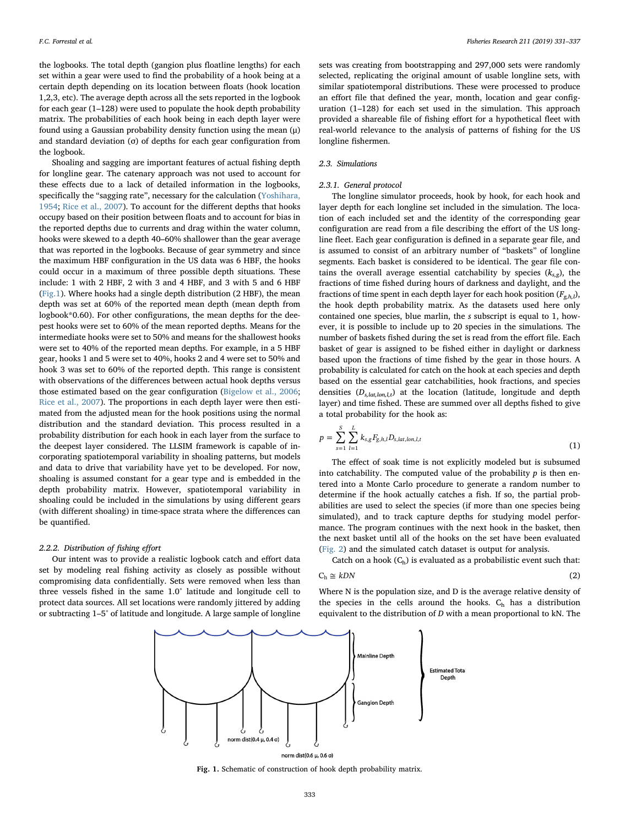the logbooks. The total depth (gangion plus floatline lengths) for each set within a gear were used to find the probability of a hook being at a certain depth depending on its location between floats (hook location 1,2,3, etc). The average depth across all the sets reported in the logbook for each gear (1–128) were used to populate the hook depth probability matrix. The probabilities of each hook being in each depth layer were found using a Gaussian probability density function using the mean (μ) and standard deviation (σ) of depths for each gear configuration from the logbook.

Shoaling and sagging are important features of actual fishing depth for longline gear. The catenary approach was not used to account for these effects due to a lack of detailed information in the logbooks, specifically the "sagging rate", necessary for the calculation [\(Yoshihara,](#page-6-13) [1954;](#page-6-13) [Rice et al., 2007](#page-6-14)). To account for the different depths that hooks occupy based on their position between floats and to account for bias in the reported depths due to currents and drag within the water column, hooks were skewed to a depth 40–60% shallower than the gear average that was reported in the logbooks. Because of gear symmetry and since the maximum HBF configuration in the US data was 6 HBF, the hooks could occur in a maximum of three possible depth situations. These include: 1 with 2 HBF, 2 with 3 and 4 HBF, and 3 with 5 and 6 HBF ([Fig.1](#page-2-0)). Where hooks had a single depth distribution (2 HBF), the mean depth was set at 60% of the reported mean depth (mean depth from logbook\*0.60). For other configurations, the mean depths for the deepest hooks were set to 60% of the mean reported depths. Means for the intermediate hooks were set to 50% and means for the shallowest hooks were set to 40% of the reported mean depths. For example, in a 5 HBF gear, hooks 1 and 5 were set to 40%, hooks 2 and 4 were set to 50% and hook 3 was set to 60% of the reported depth. This range is consistent with observations of the differences between actual hook depths versus those estimated based on the gear configuration ([Bigelow et al., 2006](#page-5-6); [Rice et al., 2007](#page-6-14)). The proportions in each depth layer were then estimated from the adjusted mean for the hook positions using the normal distribution and the standard deviation. This process resulted in a probability distribution for each hook in each layer from the surface to the deepest layer considered. The LLSIM framework is capable of incorporating spatiotemporal variability in shoaling patterns, but models and data to drive that variability have yet to be developed. For now, shoaling is assumed constant for a gear type and is embedded in the depth probability matrix. However, spatiotemporal variability in shoaling could be included in the simulations by using different gears (with different shoaling) in time-space strata where the differences can be quantified.

## 2.2.2. Distribution of fishing effort

<span id="page-2-0"></span>Our intent was to provide a realistic logbook catch and effort data set by modeling real fishing activity as closely as possible without compromising data confidentially. Sets were removed when less than three vessels fished in the same 1.0° latitude and longitude cell to protect data sources. All set locations were randomly jittered by adding or subtracting 1–5° of latitude and longitude. A large sample of longline

sets was creating from bootstrapping and 297,000 sets were randomly selected, replicating the original amount of usable longline sets, with similar spatiotemporal distributions. These were processed to produce an effort file that defined the year, month, location and gear configuration (1–128) for each set used in the simulation. This approach provided a shareable file of fishing effort for a hypothetical fleet with real-world relevance to the analysis of patterns of fishing for the US longline fishermen.

# 2.3. Simulations

# 2.3.1. General protocol

The longline simulator proceeds, hook by hook, for each hook and layer depth for each longline set included in the simulation. The location of each included set and the identity of the corresponding gear configuration are read from a file describing the effort of the US longline fleet. Each gear configuration is defined in a separate gear file, and is assumed to consist of an arbitrary number of "baskets" of longline segments. Each basket is considered to be identical. The gear file contains the overall average essential catchability by species  $(k_{s,g})$ , the fractions of time fished during hours of darkness and daylight, and the fractions of time spent in each depth layer for each hook position  $(F_{g,h,l})$ , the hook depth probability matrix. As the datasets used here only contained one species, blue marlin, the s subscript is equal to 1, however, it is possible to include up to 20 species in the simulations. The number of baskets fished during the set is read from the effort file. Each basket of gear is assigned to be fished either in daylight or darkness based upon the fractions of time fished by the gear in those hours. A probability is calculated for catch on the hook at each species and depth based on the essential gear catchabilities, hook fractions, and species densities  $(D_{s,lat,lon,l,t})$  at the location (latitude, longitude and depth layer) and time fished. These are summed over all depths fished to give a total probability for the hook as:

$$
p = \sum_{s=1}^{S} \sum_{l=1}^{L} k_{s,g} F_{g,h,l} D_{s,lat,lon,l,t}
$$
(1)

The effect of soak time is not explicitly modeled but is subsumed into catchability. The computed value of the probability  $p$  is then entered into a Monte Carlo procedure to generate a random number to determine if the hook actually catches a fish. If so, the partial probabilities are used to select the species (if more than one species being simulated), and to track capture depths for studying model performance. The program continues with the next hook in the basket, then the next basket until all of the hooks on the set have been evaluated ([Fig. 2\)](#page-3-0) and the simulated catch dataset is output for analysis.

Catch on a hook  $(C_h)$  is evaluated as a probabilistic event such that:  $C_h \cong kDN$  (2)

Where N is the population size, and D is the average relative density of the species in the cells around the hooks.  $C_h$  has a distribution equivalent to the distribution of D with a mean proportional to kN. The



norm dist(0.6 μ, 0.6 σ)

Fig. 1. Schematic of construction of hook depth probability matrix.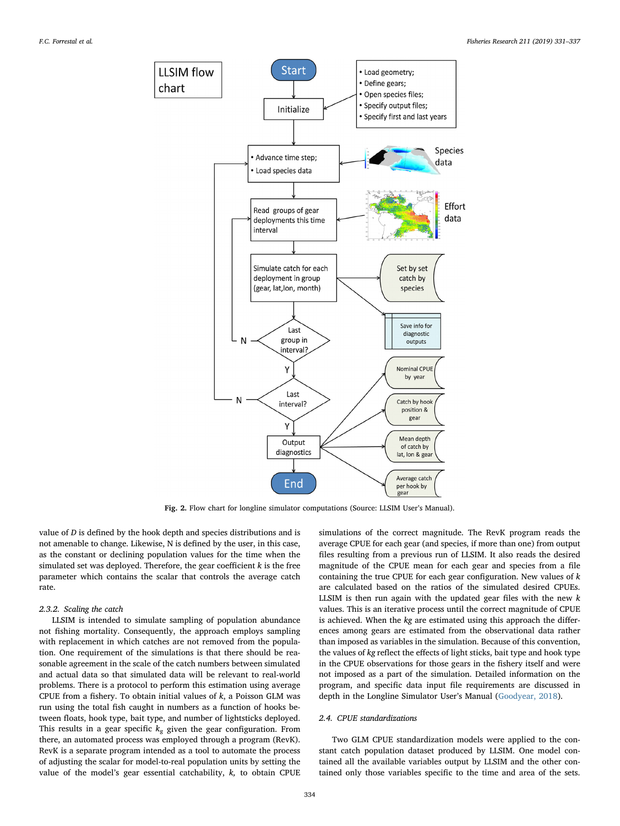<span id="page-3-0"></span>

Fig. 2. Flow chart for longline simulator computations (Source: LLSIM User's Manual).

value of  $D$  is defined by the hook depth and species distributions and is not amenable to change. Likewise, N is defined by the user, in this case, as the constant or declining population values for the time when the simulated set was deployed. Therefore, the gear coefficient  $k$  is the free parameter which contains the scalar that controls the average catch rate.

# 2.3.2. Scaling the catch

LLSIM is intended to simulate sampling of population abundance not fishing mortality. Consequently, the approach employs sampling with replacement in which catches are not removed from the population. One requirement of the simulations is that there should be reasonable agreement in the scale of the catch numbers between simulated and actual data so that simulated data will be relevant to real-world problems. There is a protocol to perform this estimation using average CPUE from a fishery. To obtain initial values of  $k$ , a Poisson GLM was run using the total fish caught in numbers as a function of hooks between floats, hook type, bait type, and number of lightsticks deployed. This results in a gear specific  $k_g$  given the gear configuration. From there, an automated process was employed through a program (RevK). RevK is a separate program intended as a tool to automate the process of adjusting the scalar for model-to-real population units by setting the value of the model's gear essential catchability, k, to obtain CPUE

simulations of the correct magnitude. The RevK program reads the average CPUE for each gear (and species, if more than one) from output files resulting from a previous run of LLSIM. It also reads the desired magnitude of the CPUE mean for each gear and species from a file containing the true CPUE for each gear configuration. New values of k are calculated based on the ratios of the simulated desired CPUEs. LLSIM is then run again with the updated gear files with the new  $k$ values. This is an iterative process until the correct magnitude of CPUE is achieved. When the kg are estimated using this approach the differences among gears are estimated from the observational data rather than imposed as variables in the simulation. Because of this convention, the values of kg reflect the effects of light sticks, bait type and hook type in the CPUE observations for those gears in the fishery itself and were not imposed as a part of the simulation. Detailed information on the program, and specific data input file requirements are discussed in depth in the Longline Simulator User's Manual ([Goodyear, 2018\)](#page-6-15).

#### 2.4. CPUE standardizations

Two GLM CPUE standardization models were applied to the constant catch population dataset produced by LLSIM. One model contained all the available variables output by LLSIM and the other contained only those variables specific to the time and area of the sets.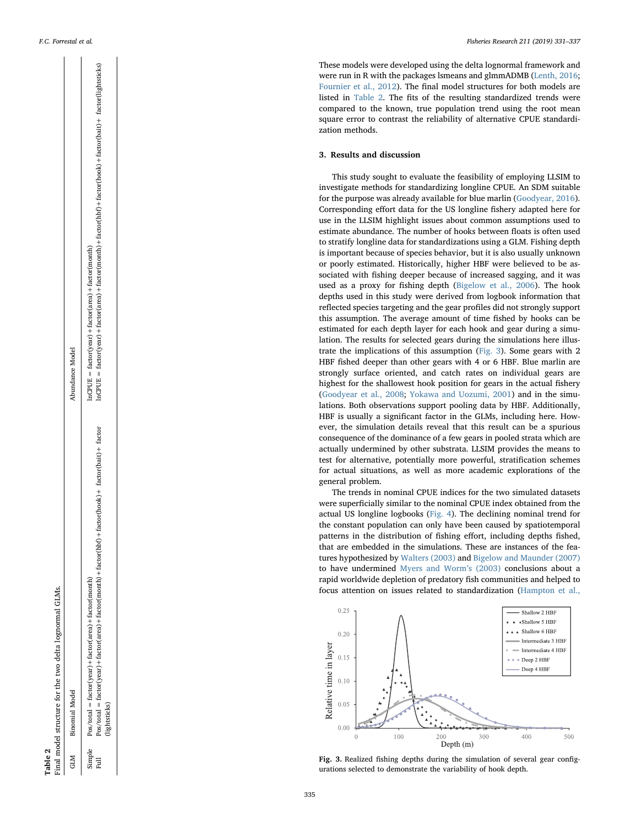$\overline{s}$ 

<span id="page-4-0"></span>

| Ę<br>י נ  |                                                                                                                                                                              | ¢<br>                                                                                                                                                                                                     |
|-----------|------------------------------------------------------------------------------------------------------------------------------------------------------------------------------|-----------------------------------------------------------------------------------------------------------------------------------------------------------------------------------------------------------|
| simp<br>皀 | - tactor<br>ireUntertor<br>ook<br>tactori <sup>-</sup><br>ł<br>₿<br>ì<br>not out m on :<br>1<br>$\frac{1}{2}$ os/total = factor( $\lambda$<br>$Pos/total = tactor$<br>ì<br>j | <b>CNOTE</b><br>tactor(bait) + factor<br>$\frac{1}{2}$<br>$In$ CPUE = factor(vear) + factor(area) + factor(month) + factor(hbf) + factor(<br>Ë<br>tor(mon)<br>$ln$ CPUE = factor(year) + factor(area) + f |

Table 2

Final model structure for the two delta lognormal GLMs.

Final model structure for the two delta lognormal GLMs.

These models were developed using the delta lognormal framework and were run in R with the packages lsmeans and glmmADMB [\(Lenth, 2016](#page-6-16) ; [Fournier et al., 2012](#page-6-17)). The final model structures for both models are listed in [Table 2.](#page-4-0) The fits of the resulting standardized trends were compared to the known, true population trend using the root mean square error to contrast the reliability of alternative CPUE standardization methods.

# 3. Results and discussion

This study sought to evaluate the feasibility of employing LLSIM to investigate methods for standardizing longline CPUE. An SDM suitable for the purpose was already available for blue marlin [\(Goodyear, 2016](#page-6-6)). Corresponding e ffort data for the US longline fishery adapted here for use in the LLSIM highlight issues about common assumptions used to estimate abundance. The number of hooks between floats is often used to stratify longline data for standardizations using a GLM. Fishing depth is important because of species behavior, but it is also usually unknown or poorly estimated. Historically, higher HBF were believed to be associated with fishing deeper because of increased sagging, and it was used as a proxy for fishing depth ([Bigelow et al., 2006\)](#page-5-6). The hook depths used in this study were derived from logbook information that re flected species targeting and the gear pro files did not strongly support this assumption. The average amount of time fished by hooks can be estimated for each depth layer for each hook and gear during a simulation. The results for selected gears during the simulations here illustrate the implications of this assumption [\(Fig. 3](#page-4-1)). Some gears with 2 HBF fished deeper than other gears with 4 or 6 HBF. Blue marlin are strongly surface oriented, and catch rates on individual gears are highest for the shallowest hook position for gears in the actual fishery ([Goodyear et al., 2008](#page-6-18) ; [Yokawa and Uozumi, 2001\)](#page-6-19) and in the simulations. Both observations support pooling data by HBF. Additionally, HBF is usually a signi ficant factor in the GLMs, including here. However, the simulation details reveal that this result can be a spurious consequence of the dominance of a few gears in pooled strata which are actually undermined by other substrata. LLSIM provides the means to test for alternative, potentially more powerful, strati fication schemes for actual situations, as well as more academic explorations of the general problem.

The trends in nominal CPUE indices for the two simulated datasets were super ficially similar to the nominal CPUE index obtained from the actual US longline logbooks ([Fig. 4\)](#page-5-7). The declining nominal trend for the constant population can only have been caused by spatiotemporal patterns in the distribution of fishing effort, including depths fished, that are embedded in the simulations. These are instances of the features hypothesized by [Walters \(2003\)](#page-6-20) and [Bigelow and Maunder \(2007\)](#page-5-8) to have undermined [Myers and Worm](#page-6-21) ' s (2003) conclusions about a rapid worldwide depletion of predatory fish communities and helped to focus attention on issues related to standardization [\(Hampton et al.,](#page-6-22)

<span id="page-4-1"></span>

Fig. 3. Realized fishing depths during the simulation of several gear configurations selected to demonstrate the variability of hook depth.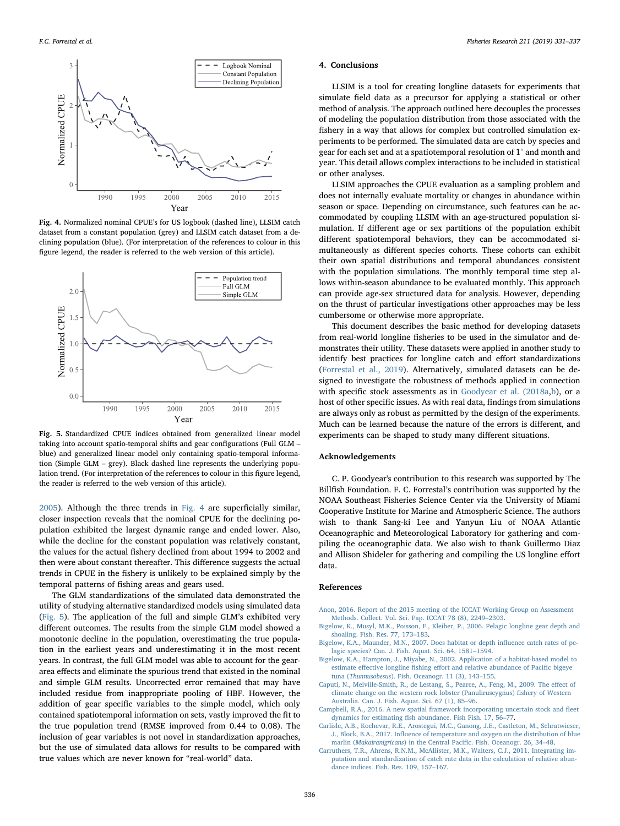<span id="page-5-7"></span>

Fig. 4. Normalized nominal CPUE's for US logbook (dashed line), LLSIM catch dataset from a constant population (grey) and LLSIM catch dataset from a declining population (blue). (For interpretation of the references to colour in this figure legend, the reader is referred to the web version of this article).

<span id="page-5-9"></span>

Fig. 5. Standardized CPUE indices obtained from generalized linear model taking into account spatio-temporal shifts and gear configurations (Full GLM – blue) and generalized linear model only containing spatio-temporal information (Simple GLM – grey). Black dashed line represents the underlying population trend. (For interpretation of the references to colour in this figure legend, the reader is referred to the web version of this article).

[2005\)](#page-6-22). Although the three trends in [Fig. 4](#page-5-7) are superficially similar, closer inspection reveals that the nominal CPUE for the declining population exhibited the largest dynamic range and ended lower. Also, while the decline for the constant population was relatively constant, the values for the actual fishery declined from about 1994 to 2002 and then were about constant thereafter. This difference suggests the actual trends in CPUE in the fishery is unlikely to be explained simply by the temporal patterns of fishing areas and gears used.

The GLM standardizations of the simulated data demonstrated the utility of studying alternative standardized models using simulated data ([Fig. 5\)](#page-5-9). The application of the full and simple GLM's exhibited very different outcomes. The results from the simple GLM model showed a monotonic decline in the population, overestimating the true population in the earliest years and underestimating it in the most recent years. In contrast, the full GLM model was able to account for the geararea effects and eliminate the spurious trend that existed in the nominal and simple GLM results. Uncorrected error remained that may have included residue from inappropriate pooling of HBF. However, the addition of gear specific variables to the simple model, which only contained spatiotemporal information on sets, vastly improved the fit to the true population trend (RMSE improved from 0.44 to 0.08). The inclusion of gear variables is not novel in standardization approaches, but the use of simulated data allows for results to be compared with true values which are never known for "real-world" data.

#### 4. Conclusions

LLSIM is a tool for creating longline datasets for experiments that simulate field data as a precursor for applying a statistical or other method of analysis. The approach outlined here decouples the processes of modeling the population distribution from those associated with the fishery in a way that allows for complex but controlled simulation experiments to be performed. The simulated data are catch by species and gear for each set and at a spatiotemporal resolution of 1° and month and year. This detail allows complex interactions to be included in statistical or other analyses.

LLSIM approaches the CPUE evaluation as a sampling problem and does not internally evaluate mortality or changes in abundance within season or space. Depending on circumstance, such features can be accommodated by coupling LLSIM with an age-structured population simulation. If different age or sex partitions of the population exhibit different spatiotemporal behaviors, they can be accommodated simultaneously as different species cohorts. These cohorts can exhibit their own spatial distributions and temporal abundances consistent with the population simulations. The monthly temporal time step allows within-season abundance to be evaluated monthly. This approach can provide age-sex structured data for analysis. However, depending on the thrust of particular investigations other approaches may be less cumbersome or otherwise more appropriate.

This document describes the basic method for developing datasets from real-world longline fisheries to be used in the simulator and demonstrates their utility. These datasets were applied in another study to identify best practices for longline catch and effort standardizations ([Forrestal et al., 2019](#page-6-23)). Alternatively, simulated datasets can be designed to investigate the robustness of methods applied in connection with specific stock assessments as in [Goodyear et al. \(2018a,](#page-6-24)[b](#page-6-25)), or a host of other specific issues. As with real data, findings from simulations are always only as robust as permitted by the design of the experiments. Much can be learned because the nature of the errors is different, and experiments can be shaped to study many different situations.

# Acknowledgements

C. P. Goodyear's contribution to this research was supported by The Billfish Foundation. F. C. Forrestal's contribution was supported by the NOAA Southeast Fisheries Science Center via the University of Miami Cooperative Institute for Marine and Atmospheric Science. The authors wish to thank Sang-ki Lee and Yanyun Liu of NOAA Atlantic Oceanographic and Meteorological Laboratory for gathering and compiling the oceanographic data. We also wish to thank Guillermo Diaz and Allison Shideler for gathering and compiling the US longline effort data.

#### References

- <span id="page-5-4"></span>[Anon, 2016. Report of the 2015 meeting of the ICCAT Working Group on Assessment](http://refhub.elsevier.com/S0165-7836(18)30343-6/sbref0005) [Methods. Collect. Vol. Sci. Pap. ICCAT 78 \(8\), 2249](http://refhub.elsevier.com/S0165-7836(18)30343-6/sbref0005)–2303.
- <span id="page-5-6"></span>[Bigelow, K., Musyl, M.K., Poisson, F., Kleiber, P., 2006. Pelagic longline gear depth and](http://refhub.elsevier.com/S0165-7836(18)30343-6/sbref0010) [shoaling. Fish. Res. 77, 173](http://refhub.elsevier.com/S0165-7836(18)30343-6/sbref0010)–183.
- <span id="page-5-8"></span>[Bigelow, K.A., Maunder, M.N., 2007. Does habitat or depth in](http://refhub.elsevier.com/S0165-7836(18)30343-6/sbref0015)fluence catch rates of pe[lagic species? Can. J. Fish. Aquat. Sci. 64, 1581](http://refhub.elsevier.com/S0165-7836(18)30343-6/sbref0015)–1594.
- <span id="page-5-2"></span>[Bigelow, K.A., Hampton, J., Miyabe, N., 2002. Application of a habitat](http://refhub.elsevier.com/S0165-7836(18)30343-6/sbref0020)‐based model to estimate effective longline fishing eff[ort and relative abundance of Paci](http://refhub.elsevier.com/S0165-7836(18)30343-6/sbref0020)fic bigeye tuna (Thunnusobesus[\). Fish. Oceanogr. 11 \(3\), 143](http://refhub.elsevier.com/S0165-7836(18)30343-6/sbref0020)–155.
- <span id="page-5-0"></span>[Caputi, N., Melville-Smith, R., de Lestang, S., Pearce, A., Feng, M., 2009. The e](http://refhub.elsevier.com/S0165-7836(18)30343-6/sbref0025)ffect of [climate change on the western rock lobster \(Panuliruscygnus\)](http://refhub.elsevier.com/S0165-7836(18)30343-6/sbref0025) fishery of Western [Australia. Can. J. Fish. Aquat. Sci. 67 \(1\), 85](http://refhub.elsevier.com/S0165-7836(18)30343-6/sbref0025)–96.
- <span id="page-5-3"></span>[Campbell, R.A., 2016. A new spatial framework incorporating uncertain stock and](http://refhub.elsevier.com/S0165-7836(18)30343-6/sbref0030) fleet dynamics for estimating fi[sh abundance. Fish Fish. 17, 56](http://refhub.elsevier.com/S0165-7836(18)30343-6/sbref0030)–77.
- <span id="page-5-5"></span>[Carlisle, A.B., Kochevar, R.E., Arostegui, M.C., Ganong, J.E., Castleton, M., Schratwieser,](http://refhub.elsevier.com/S0165-7836(18)30343-6/sbref0035) J., Block, B.A., 2017. Infl[uence of temperature and oxygen on the distribution of blue](http://refhub.elsevier.com/S0165-7836(18)30343-6/sbref0035) marlin (Makairanigricans) in the Central Pacifi[c. Fish. Oceanogr. 26, 34](http://refhub.elsevier.com/S0165-7836(18)30343-6/sbref0035)–48.
- <span id="page-5-1"></span>[Carruthers, T.R., Ahrens, R.N.M., McAllister, M.K., Walters, C.J., 2011. Integrating im](http://refhub.elsevier.com/S0165-7836(18)30343-6/sbref0040)[putation and standardization of catch rate data in the calculation of relative abun](http://refhub.elsevier.com/S0165-7836(18)30343-6/sbref0040)[dance indices. Fish. Res. 109, 157](http://refhub.elsevier.com/S0165-7836(18)30343-6/sbref0040)–167.